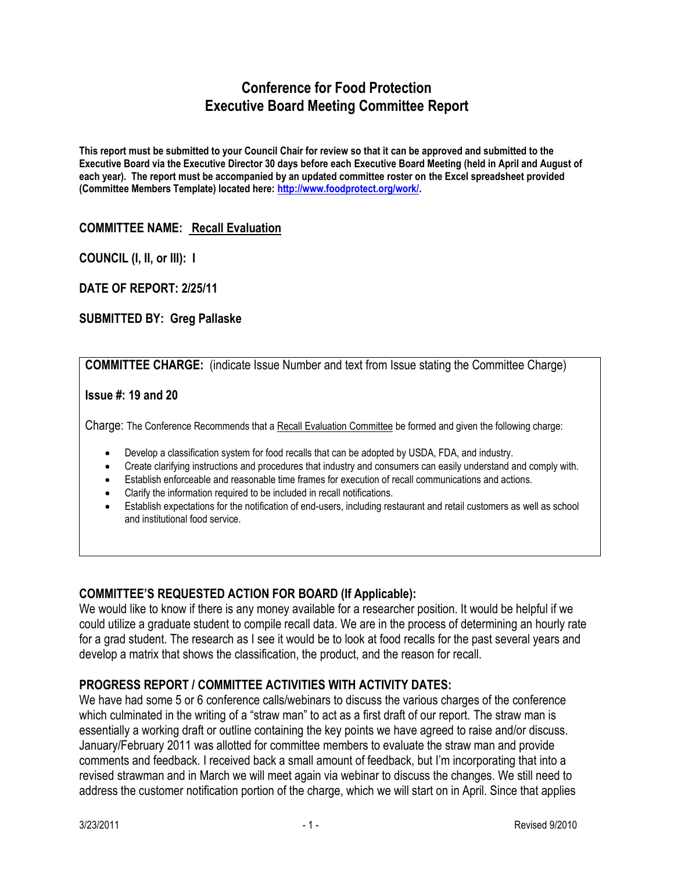# **Conference for Food Protection Executive Board Meeting Committee Report**

**This report must be submitted to your Council Chair for review so that it can be approved and submitted to the Executive Board via the Executive Director 30 days before each Executive Board Meeting (held in April and August of each year). The report must be accompanied by an updated committee roster on the Excel spreadsheet provided (Committee Members Template) located here: [http://www.foodprotect.org/work/.](http://www.foodprotect.org/work/)**

# **COMMITTEE NAME: Recall Evaluation**

**COUNCIL (I, II, or III): I**

**DATE OF REPORT: 2/25/11**

# **SUBMITTED BY: Greg Pallaske**

**COMMITTEE CHARGE:** (indicate Issue Number and text from Issue stating the Committee Charge)

### **Issue #: 19 and 20**

Charge: The Conference Recommends that a Recall Evaluation Committee be formed and given the following charge:

- Develop a classification system for food recalls that can be adopted by USDA, FDA, and industry.
- Create clarifying instructions and procedures that industry and consumers can easily understand and comply with.
- Establish enforceable and reasonable time frames for execution of recall communications and actions.
- Clarify the information required to be included in recall notifications.
- Establish expectations for the notification of end-users, including restaurant and retail customers as well as school and institutional food service.

# **COMMITTEE'S REQUESTED ACTION FOR BOARD (If Applicable):**

We would like to know if there is any money available for a researcher position. It would be helpful if we could utilize a graduate student to compile recall data. We are in the process of determining an hourly rate for a grad student. The research as I see it would be to look at food recalls for the past several years and develop a matrix that shows the classification, the product, and the reason for recall.

# **PROGRESS REPORT / COMMITTEE ACTIVITIES WITH ACTIVITY DATES:**

We have had some 5 or 6 conference calls/webinars to discuss the various charges of the conference which culminated in the writing of a "straw man" to act as a first draft of our report. The straw man is essentially a working draft or outline containing the key points we have agreed to raise and/or discuss. January/February 2011 was allotted for committee members to evaluate the straw man and provide comments and feedback. I received back a small amount of feedback, but I'm incorporating that into a revised strawman and in March we will meet again via webinar to discuss the changes. We still need to address the customer notification portion of the charge, which we will start on in April. Since that applies